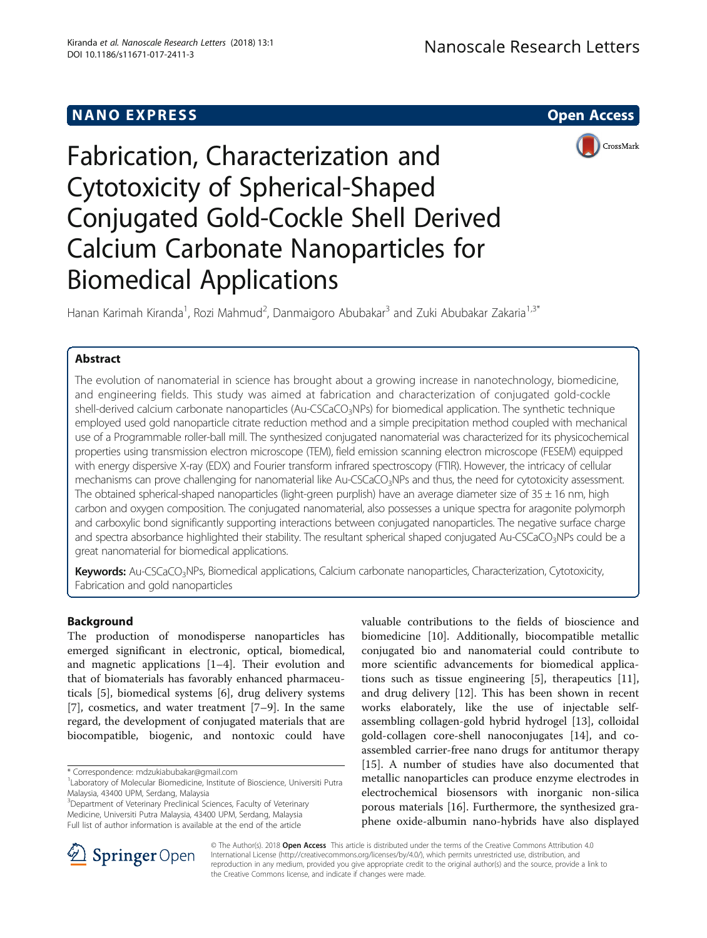# NANO EXPRESS AND IN THE SERVICE OPEN ACCESS AND THE SERVICE OF STATE OPEN ACCESS



# Fabrication, Characterization and Cytotoxicity of Spherical-Shaped Conjugated Gold-Cockle Shell Derived Calcium Carbonate Nanoparticles for Biomedical Applications

Hanan Karimah Kiranda<sup>1</sup>, Rozi Mahmud<sup>2</sup>, Danmaigoro Abubakar<sup>3</sup> and Zuki Abubakar Zakaria<sup>1,3\*</sup>

# Abstract

The evolution of nanomaterial in science has brought about a growing increase in nanotechnology, biomedicine, and engineering fields. This study was aimed at fabrication and characterization of conjugated gold-cockle shell-derived calcium carbonate nanoparticles (Au-CSCaCO<sub>3</sub>NPs) for biomedical application. The synthetic technique employed used gold nanoparticle citrate reduction method and a simple precipitation method coupled with mechanical use of a Programmable roller-ball mill. The synthesized conjugated nanomaterial was characterized for its physicochemical properties using transmission electron microscope (TEM), field emission scanning electron microscope (FESEM) equipped with energy dispersive X-ray (EDX) and Fourier transform infrared spectroscopy (FTIR). However, the intricacy of cellular mechanisms can prove challenging for nanomaterial like Au-CSCaCO<sub>3</sub>NPs and thus, the need for cytotoxicity assessment. The obtained spherical-shaped nanoparticles (light-green purplish) have an average diameter size of  $35 \pm 16$  nm, high carbon and oxygen composition. The conjugated nanomaterial, also possesses a unique spectra for aragonite polymorph and carboxylic bond significantly supporting interactions between conjugated nanoparticles. The negative surface charge and spectra absorbance highlighted their stability. The resultant spherical shaped conjugated Au-CSCaCO3NPs could be a great nanomaterial for biomedical applications.

Keywords: Au-CSCaCO<sub>3</sub>NPs, Biomedical applications, Calcium carbonate nanoparticles, Characterization, Cytotoxicity, Fabrication and gold nanoparticles

# Background

The production of monodisperse nanoparticles has emerged significant in electronic, optical, biomedical, and magnetic applications [\[1](#page-7-0)–[4](#page-7-0)]. Their evolution and that of biomaterials has favorably enhanced pharmaceuticals [[5\]](#page-7-0), biomedical systems [\[6](#page-7-0)], drug delivery systems [[7\]](#page-7-0), cosmetics, and water treatment [\[7](#page-7-0)–[9](#page-7-0)]. In the same regard, the development of conjugated materials that are biocompatible, biogenic, and nontoxic could have

\* Correspondence: [mdzukiabubakar@gmail.com](mailto:mdzukiabubakar@gmail.com) <sup>1</sup>

<sup>1</sup> Laboratory of Molecular Biomedicine, Institute of Bioscience, Universiti Putra Malaysia, 43400 UPM, Serdang, Malaysia

<sup>3</sup>Department of Veterinary Preclinical Sciences, Faculty of Veterinary Medicine, Universiti Putra Malaysia, 43400 UPM, Serdang, Malaysia Full list of author information is available at the end of the article

valuable contributions to the fields of bioscience and biomedicine [[10](#page-7-0)]. Additionally, biocompatible metallic conjugated bio and nanomaterial could contribute to more scientific advancements for biomedical applications such as tissue engineering [\[5](#page-7-0)], therapeutics [\[11](#page-7-0)], and drug delivery [\[12](#page-7-0)]. This has been shown in recent works elaborately, like the use of injectable selfassembling collagen-gold hybrid hydrogel [\[13\]](#page-7-0), colloidal gold-collagen core-shell nanoconjugates [[14](#page-7-0)], and coassembled carrier-free nano drugs for antitumor therapy [[15\]](#page-8-0). A number of studies have also documented that metallic nanoparticles can produce enzyme electrodes in electrochemical biosensors with inorganic non-silica porous materials [[16\]](#page-8-0). Furthermore, the synthesized graphene oxide-albumin nano-hybrids have also displayed



© The Author(s). 2018 Open Access This article is distributed under the terms of the Creative Commons Attribution 4.0 International License ([http://creativecommons.org/licenses/by/4.0/\)](http://creativecommons.org/licenses/by/4.0/), which permits unrestricted use, distribution, and reproduction in any medium, provided you give appropriate credit to the original author(s) and the source, provide a link to the Creative Commons license, and indicate if changes were made.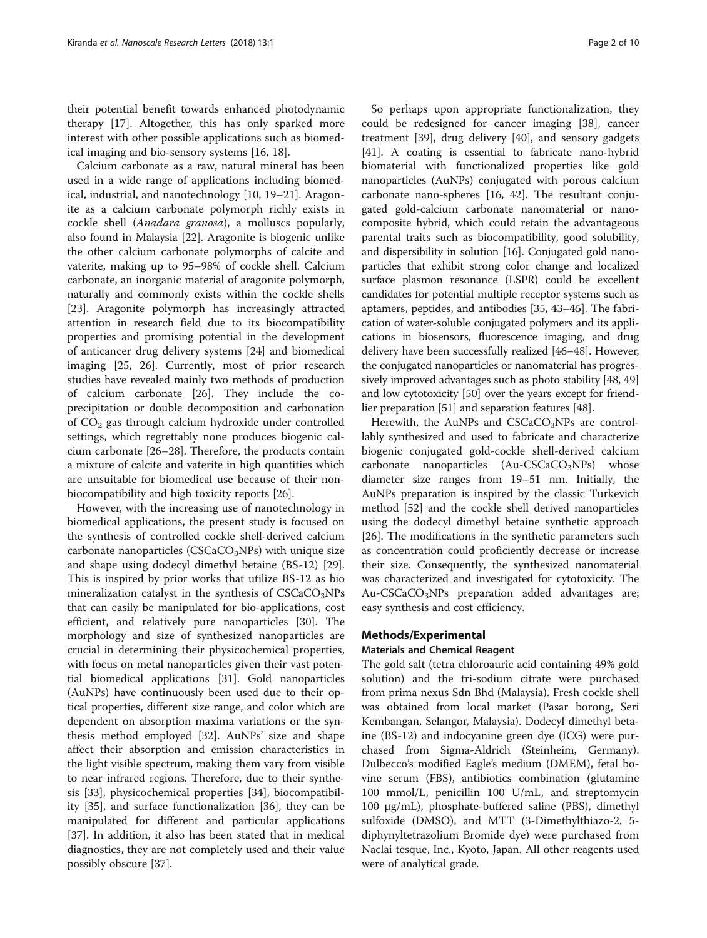their potential benefit towards enhanced photodynamic therapy [\[17](#page-8-0)]. Altogether, this has only sparked more interest with other possible applications such as biomedical imaging and bio-sensory systems [\[16](#page-8-0), [18](#page-8-0)].

Calcium carbonate as a raw, natural mineral has been used in a wide range of applications including biomedical, industrial, and nanotechnology [\[10,](#page-7-0) [19](#page-8-0)–[21\]](#page-8-0). Aragonite as a calcium carbonate polymorph richly exists in cockle shell (Anadara granosa), a molluscs popularly, also found in Malaysia [\[22](#page-8-0)]. Aragonite is biogenic unlike the other calcium carbonate polymorphs of calcite and vaterite, making up to 95–98% of cockle shell. Calcium carbonate, an inorganic material of aragonite polymorph, naturally and commonly exists within the cockle shells [[23\]](#page-8-0). Aragonite polymorph has increasingly attracted attention in research field due to its biocompatibility properties and promising potential in the development of anticancer drug delivery systems [[24](#page-8-0)] and biomedical imaging [\[25, 26\]](#page-8-0). Currently, most of prior research studies have revealed mainly two methods of production of calcium carbonate [\[26\]](#page-8-0). They include the coprecipitation or double decomposition and carbonation of  $CO<sub>2</sub>$  gas through calcium hydroxide under controlled settings, which regrettably none produces biogenic calcium carbonate [\[26](#page-8-0)–[28\]](#page-8-0). Therefore, the products contain a mixture of calcite and vaterite in high quantities which are unsuitable for biomedical use because of their nonbiocompatibility and high toxicity reports [[26\]](#page-8-0).

However, with the increasing use of nanotechnology in biomedical applications, the present study is focused on the synthesis of controlled cockle shell-derived calcium carbonate nanoparticles ( $CSCaCO<sub>3</sub>NPs$ ) with unique size and shape using dodecyl dimethyl betaine (BS-12) [\[29](#page-8-0)]. This is inspired by prior works that utilize BS-12 as bio mineralization catalyst in the synthesis of  $CSCaCO<sub>3</sub>NPs$ that can easily be manipulated for bio-applications, cost efficient, and relatively pure nanoparticles [[30](#page-8-0)]. The morphology and size of synthesized nanoparticles are crucial in determining their physicochemical properties, with focus on metal nanoparticles given their vast potential biomedical applications [[31\]](#page-8-0). Gold nanoparticles (AuNPs) have continuously been used due to their optical properties, different size range, and color which are dependent on absorption maxima variations or the synthesis method employed [\[32\]](#page-8-0). AuNPs' size and shape affect their absorption and emission characteristics in the light visible spectrum, making them vary from visible to near infrared regions. Therefore, due to their synthesis [[33\]](#page-8-0), physicochemical properties [[34\]](#page-8-0), biocompatibility [\[35\]](#page-8-0), and surface functionalization [[36\]](#page-8-0), they can be manipulated for different and particular applications [[37\]](#page-8-0). In addition, it also has been stated that in medical diagnostics, they are not completely used and their value possibly obscure [\[37\]](#page-8-0).

So perhaps upon appropriate functionalization, they could be redesigned for cancer imaging [[38\]](#page-8-0), cancer treatment [\[39](#page-8-0)], drug delivery [\[40](#page-8-0)], and sensory gadgets [[41\]](#page-8-0). A coating is essential to fabricate nano-hybrid biomaterial with functionalized properties like gold nanoparticles (AuNPs) conjugated with porous calcium carbonate nano-spheres [[16, 42\]](#page-8-0). The resultant conjugated gold-calcium carbonate nanomaterial or nanocomposite hybrid, which could retain the advantageous parental traits such as biocompatibility, good solubility, and dispersibility in solution [[16](#page-8-0)]. Conjugated gold nanoparticles that exhibit strong color change and localized surface plasmon resonance (LSPR) could be excellent candidates for potential multiple receptor systems such as aptamers, peptides, and antibodies [[35](#page-8-0), [43](#page-8-0)–[45\]](#page-8-0). The fabrication of water-soluble conjugated polymers and its applications in biosensors, fluorescence imaging, and drug delivery have been successfully realized [\[46](#page-8-0)–[48](#page-8-0)]. However, the conjugated nanoparticles or nanomaterial has progressively improved advantages such as photo stability [\[48, 49](#page-8-0)] and low cytotoxicity [\[50](#page-8-0)] over the years except for friendlier preparation [\[51\]](#page-8-0) and separation features [[48](#page-8-0)].

Herewith, the AuNPs and  $CSCaCO<sub>3</sub>NPs$  are controllably synthesized and used to fabricate and characterize biogenic conjugated gold-cockle shell-derived calcium carbonate nanoparticles  $(Au-CSCaCO<sub>3</sub>NPs)$  whose diameter size ranges from 19–51 nm. Initially, the AuNPs preparation is inspired by the classic Turkevich method [[52](#page-8-0)] and the cockle shell derived nanoparticles using the dodecyl dimethyl betaine synthetic approach [[26\]](#page-8-0). The modifications in the synthetic parameters such as concentration could proficiently decrease or increase their size. Consequently, the synthesized nanomaterial was characterized and investigated for cytotoxicity. The Au- $CSCaCO<sub>3</sub>NPs$  preparation added advantages are; easy synthesis and cost efficiency.

#### Methods/Experimental

#### Materials and Chemical Reagent

The gold salt (tetra chloroauric acid containing 49% gold solution) and the tri-sodium citrate were purchased from prima nexus Sdn Bhd (Malaysia). Fresh cockle shell was obtained from local market (Pasar borong, Seri Kembangan, Selangor, Malaysia). Dodecyl dimethyl betaine (BS-12) and indocyanine green dye (ICG) were purchased from Sigma-Aldrich (Steinheim, Germany). Dulbecco's modified Eagle's medium (DMEM), fetal bovine serum (FBS), antibiotics combination (glutamine 100 mmol/L, penicillin 100 U/mL, and streptomycin 100 μg/mL), phosphate-buffered saline (PBS), dimethyl sulfoxide (DMSO), and MTT (3-Dimethylthiazo-2, 5 diphynyltetrazolium Bromide dye) were purchased from Naclai tesque, Inc., Kyoto, Japan. All other reagents used were of analytical grade.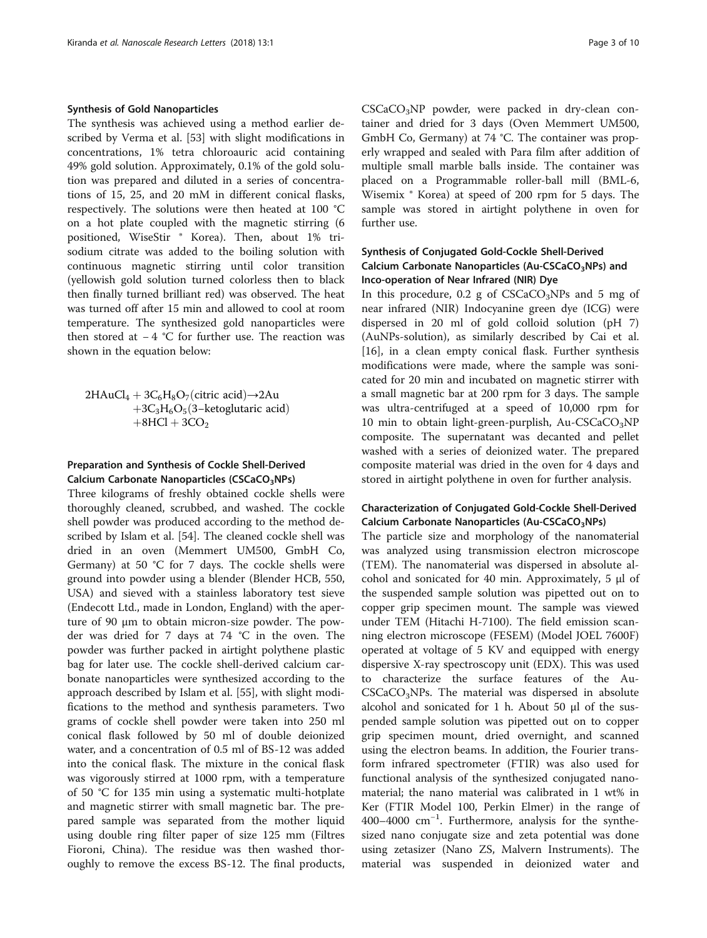## Synthesis of Gold Nanoparticles

The synthesis was achieved using a method earlier described by Verma et al. [\[53\]](#page-8-0) with slight modifications in concentrations, 1% tetra chloroauric acid containing 49% gold solution. Approximately, 0.1% of the gold solution was prepared and diluted in a series of concentrations of 15, 25, and 20 mM in different conical flasks, respectively. The solutions were then heated at 100 °C on a hot plate coupled with the magnetic stirring (6 positioned, WiseStir ® Korea). Then, about 1% trisodium citrate was added to the boiling solution with continuous magnetic stirring until color transition (yellowish gold solution turned colorless then to black then finally turned brilliant red) was observed. The heat was turned off after 15 min and allowed to cool at room temperature. The synthesized gold nanoparticles were then stored at − 4 °C for further use. The reaction was shown in the equation below:

 $2HAuCl_4 + 3C_6H_8O_7$ (citric acid) $\rightarrow$ 2Au  $+3C_3H_6O_5(3-ketoglutaric acid)$  $+8$ HCl  $+3$ CO<sub>2</sub>

# Preparation and Synthesis of Cockle Shell-Derived Calcium Carbonate Nanoparticles (CSCaCO<sub>3</sub>NPs)

Three kilograms of freshly obtained cockle shells were thoroughly cleaned, scrubbed, and washed. The cockle shell powder was produced according to the method described by Islam et al. [\[54\]](#page-8-0). The cleaned cockle shell was dried in an oven (Memmert UM500, GmbH Co, Germany) at 50  $°C$  for 7 days. The cockle shells were ground into powder using a blender (Blender HCB, 550, USA) and sieved with a stainless laboratory test sieve (Endecott Ltd., made in London, England) with the aperture of 90 μm to obtain micron-size powder. The powder was dried for 7 days at 74 °C in the oven. The powder was further packed in airtight polythene plastic bag for later use. The cockle shell-derived calcium carbonate nanoparticles were synthesized according to the approach described by Islam et al. [\[55\]](#page-8-0), with slight modifications to the method and synthesis parameters. Two grams of cockle shell powder were taken into 250 ml conical flask followed by 50 ml of double deionized water, and a concentration of 0.5 ml of BS-12 was added into the conical flask. The mixture in the conical flask was vigorously stirred at 1000 rpm, with a temperature of 50 °C for 135 min using a systematic multi-hotplate and magnetic stirrer with small magnetic bar. The prepared sample was separated from the mother liquid using double ring filter paper of size 125 mm (Filtres Fioroni, China). The residue was then washed thoroughly to remove the excess BS-12. The final products, CSCaCO<sub>3</sub>NP powder, were packed in dry-clean container and dried for 3 days (Oven Memmert UM500, GmbH Co, Germany) at 74 °C. The container was properly wrapped and sealed with Para film after addition of multiple small marble balls inside. The container was placed on a Programmable roller-ball mill (BML-6, Wisemix ® Korea) at speed of 200 rpm for 5 days. The sample was stored in airtight polythene in oven for further use.

# Synthesis of Conjugated Gold-Cockle Shell-Derived Calcium Carbonate Nanoparticles (Au-CSCaCO<sub>3</sub>NPs) and Inco-operation of Near Infrared (NIR) Dye

In this procedure, 0.2 g of  $CSCaCO<sub>3</sub>NPs$  and 5 mg of near infrared (NIR) Indocyanine green dye (ICG) were dispersed in 20 ml of gold colloid solution (pH 7) (AuNPs-solution), as similarly described by Cai et al. [[16\]](#page-8-0), in a clean empty conical flask. Further synthesis modifications were made, where the sample was sonicated for 20 min and incubated on magnetic stirrer with a small magnetic bar at 200 rpm for 3 days. The sample was ultra-centrifuged at a speed of 10,000 rpm for 10 min to obtain light-green-purplish, Au-CSCaCO<sub>3</sub>NP composite. The supernatant was decanted and pellet washed with a series of deionized water. The prepared composite material was dried in the oven for 4 days and stored in airtight polythene in oven for further analysis.

# Characterization of Conjugated Gold-Cockle Shell-Derived Calcium Carbonate Nanoparticles (Au-CSCaCO<sub>3</sub>NPs)

The particle size and morphology of the nanomaterial was analyzed using transmission electron microscope (TEM). The nanomaterial was dispersed in absolute alcohol and sonicated for 40 min. Approximately, 5 μl of the suspended sample solution was pipetted out on to copper grip specimen mount. The sample was viewed under TEM (Hitachi H-7100). The field emission scanning electron microscope (FESEM) (Model JOEL 7600F) operated at voltage of 5 KV and equipped with energy dispersive X-ray spectroscopy unit (EDX). This was used to characterize the surface features of the Au- $CSCaCO<sub>3</sub>NPs$ . The material was dispersed in absolute alcohol and sonicated for 1 h. About 50 μl of the suspended sample solution was pipetted out on to copper grip specimen mount, dried overnight, and scanned using the electron beams. In addition, the Fourier transform infrared spectrometer (FTIR) was also used for functional analysis of the synthesized conjugated nanomaterial; the nano material was calibrated in 1 wt% in Ker (FTIR Model 100, Perkin Elmer) in the range of 400–4000 cm−<sup>1</sup> . Furthermore, analysis for the synthesized nano conjugate size and zeta potential was done using zetasizer (Nano ZS, Malvern Instruments). The material was suspended in deionized water and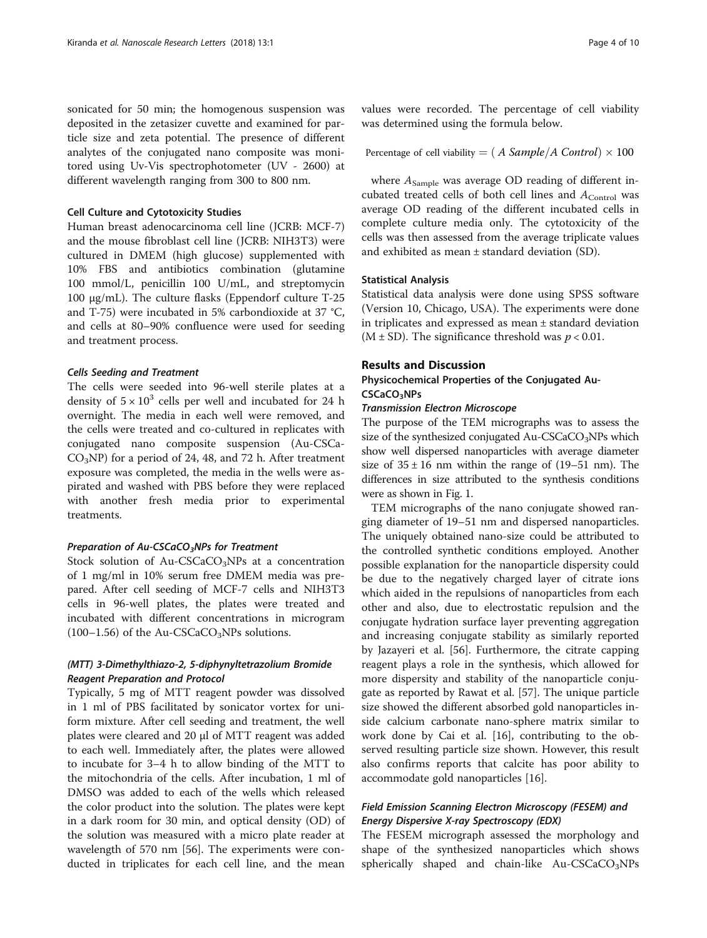sonicated for 50 min; the homogenous suspension was deposited in the zetasizer cuvette and examined for particle size and zeta potential. The presence of different analytes of the conjugated nano composite was monitored using Uv-Vis spectrophotometer (UV - 2600) at different wavelength ranging from 300 to 800 nm.

## Cell Culture and Cytotoxicity Studies

Human breast adenocarcinoma cell line (JCRB: MCF-7) and the mouse fibroblast cell line (JCRB: NIH3T3) were cultured in DMEM (high glucose) supplemented with 10% FBS and antibiotics combination (glutamine 100 mmol/L, penicillin 100 U/mL, and streptomycin 100 μg/mL). The culture flasks (Eppendorf culture T-25 and T-75) were incubated in 5% carbondioxide at 37 °C, and cells at 80–90% confluence were used for seeding and treatment process.

#### Cells Seeding and Treatment

The cells were seeded into 96-well sterile plates at a density of  $5 \times 10^3$  cells per well and incubated for 24 h overnight. The media in each well were removed, and the cells were treated and co-cultured in replicates with conjugated nano composite suspension (Au-CSCa- $CO<sub>3</sub>NP$ ) for a period of 24, 48, and 72 h. After treatment exposure was completed, the media in the wells were aspirated and washed with PBS before they were replaced with another fresh media prior to experimental treatments.

#### Preparation of Au-CSCaCO<sub>3</sub>NPs for Treatment

Stock solution of Au-CSCaCO<sub>3</sub>NPs at a concentration of 1 mg/ml in 10% serum free DMEM media was prepared. After cell seeding of MCF-7 cells and NIH3T3 cells in 96-well plates, the plates were treated and incubated with different concentrations in microgram (100–1.56) of the Au-CSCaCO<sub>3</sub>NPs solutions.

# (MTT) 3-Dimethylthiazo-2, 5-diphynyltetrazolium Bromide Reagent Preparation and Protocol

Typically, 5 mg of MTT reagent powder was dissolved in 1 ml of PBS facilitated by sonicator vortex for uniform mixture. After cell seeding and treatment, the well plates were cleared and 20 μl of MTT reagent was added to each well. Immediately after, the plates were allowed to incubate for 3–4 h to allow binding of the MTT to the mitochondria of the cells. After incubation, 1 ml of DMSO was added to each of the wells which released the color product into the solution. The plates were kept in a dark room for 30 min, and optical density (OD) of the solution was measured with a micro plate reader at wavelength of 570 nm [\[56](#page-8-0)]. The experiments were conducted in triplicates for each cell line, and the mean values were recorded. The percentage of cell viability was determined using the formula below.

Percentage of cell viability = (
$$
A Sample/A Control
$$
)  $\times$  100

where  $A_{Sample}$  was average OD reading of different incubated treated cells of both cell lines and  $A_{Control}$  was average OD reading of the different incubated cells in complete culture media only. The cytotoxicity of the cells was then assessed from the average triplicate values and exhibited as mean ± standard deviation (SD).

#### Statistical Analysis

Statistical data analysis were done using SPSS software (Version 10, Chicago, USA). The experiments were done in triplicates and expressed as mean ± standard deviation  $(M \pm SD)$ . The significance threshold was  $p < 0.01$ .

#### Results and Discussion

# Physicochemical Properties of the Conjugated Au-CSCaCO3NPs

#### Transmission Electron Microscope

The purpose of the TEM micrographs was to assess the size of the synthesized conjugated  $Au-CSCaCO<sub>3</sub>NPs$  which show well dispersed nanoparticles with average diameter size of  $35 \pm 16$  nm within the range of (19–51 nm). The differences in size attributed to the synthesis conditions were as shown in Fig. [1.](#page-4-0)

TEM micrographs of the nano conjugate showed ranging diameter of 19–51 nm and dispersed nanoparticles. The uniquely obtained nano-size could be attributed to the controlled synthetic conditions employed. Another possible explanation for the nanoparticle dispersity could be due to the negatively charged layer of citrate ions which aided in the repulsions of nanoparticles from each other and also, due to electrostatic repulsion and the conjugate hydration surface layer preventing aggregation and increasing conjugate stability as similarly reported by Jazayeri et al. [[56\]](#page-8-0). Furthermore, the citrate capping reagent plays a role in the synthesis, which allowed for more dispersity and stability of the nanoparticle conjugate as reported by Rawat et al. [[57\]](#page-8-0). The unique particle size showed the different absorbed gold nanoparticles inside calcium carbonate nano-sphere matrix similar to work done by Cai et al. [\[16\]](#page-8-0), contributing to the observed resulting particle size shown. However, this result also confirms reports that calcite has poor ability to accommodate gold nanoparticles [[16\]](#page-8-0).

# Field Emission Scanning Electron Microscopy (FESEM) and Energy Dispersive X-ray Spectroscopy (EDX)

The FESEM micrograph assessed the morphology and shape of the synthesized nanoparticles which shows spherically shaped and chain-like  $Au-CSCaCO<sub>3</sub>NPs$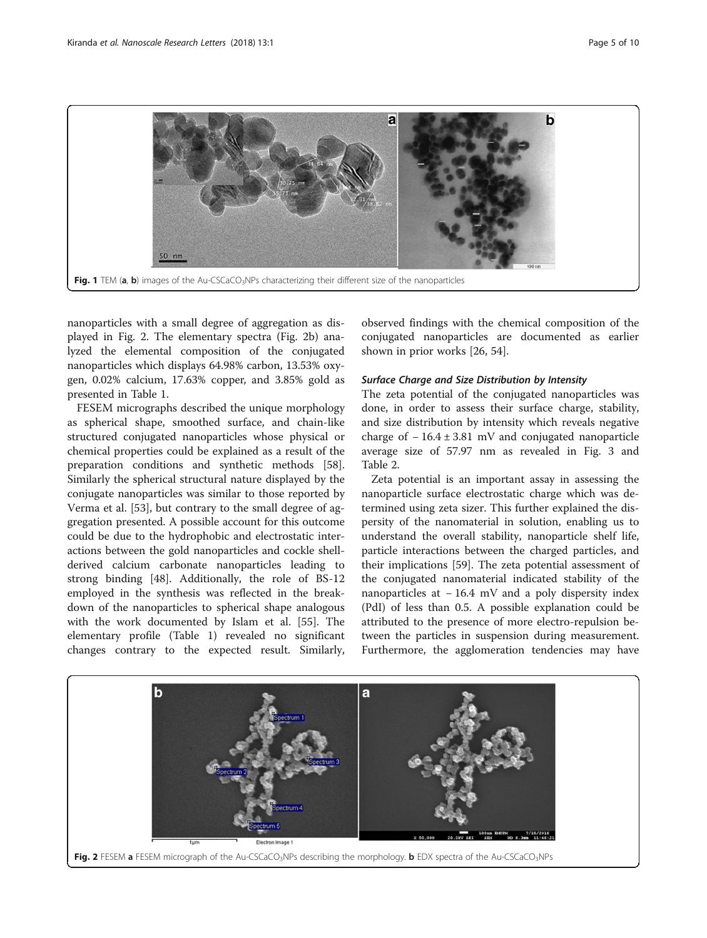<span id="page-4-0"></span>

nanoparticles with a small degree of aggregation as displayed in Fig. 2. The elementary spectra (Fig. 2b) analyzed the elemental composition of the conjugated nanoparticles which displays 64.98% carbon, 13.53% oxygen, 0.02% calcium, 17.63% copper, and 3.85% gold as presented in Table [1](#page-5-0).

FESEM micrographs described the unique morphology as spherical shape, smoothed surface, and chain-like structured conjugated nanoparticles whose physical or chemical properties could be explained as a result of the preparation conditions and synthetic methods [\[58](#page-8-0)]. Similarly the spherical structural nature displayed by the conjugate nanoparticles was similar to those reported by Verma et al. [\[53\]](#page-8-0), but contrary to the small degree of aggregation presented. A possible account for this outcome could be due to the hydrophobic and electrostatic interactions between the gold nanoparticles and cockle shellderived calcium carbonate nanoparticles leading to strong binding [[48](#page-8-0)]. Additionally, the role of BS-12 employed in the synthesis was reflected in the breakdown of the nanoparticles to spherical shape analogous with the work documented by Islam et al. [[55\]](#page-8-0). The elementary profile (Table [1\)](#page-5-0) revealed no significant changes contrary to the expected result. Similarly,

observed findings with the chemical composition of the conjugated nanoparticles are documented as earlier shown in prior works [[26, 54\]](#page-8-0).

#### Surface Charge and Size Distribution by Intensity

The zeta potential of the conjugated nanoparticles was done, in order to assess their surface charge, stability, and size distribution by intensity which reveals negative charge of  $-16.4 \pm 3.81$  mV and conjugated nanoparticle average size of 57.97 nm as revealed in Fig. [3](#page-5-0) and Table [2.](#page-6-0)

Zeta potential is an important assay in assessing the nanoparticle surface electrostatic charge which was determined using zeta sizer. This further explained the dispersity of the nanomaterial in solution, enabling us to understand the overall stability, nanoparticle shelf life, particle interactions between the charged particles, and their implications [\[59\]](#page-8-0). The zeta potential assessment of the conjugated nanomaterial indicated stability of the nanoparticles at −16.4 mV and a poly dispersity index (PdI) of less than 0.5. A possible explanation could be attributed to the presence of more electro-repulsion between the particles in suspension during measurement. Furthermore, the agglomeration tendencies may have

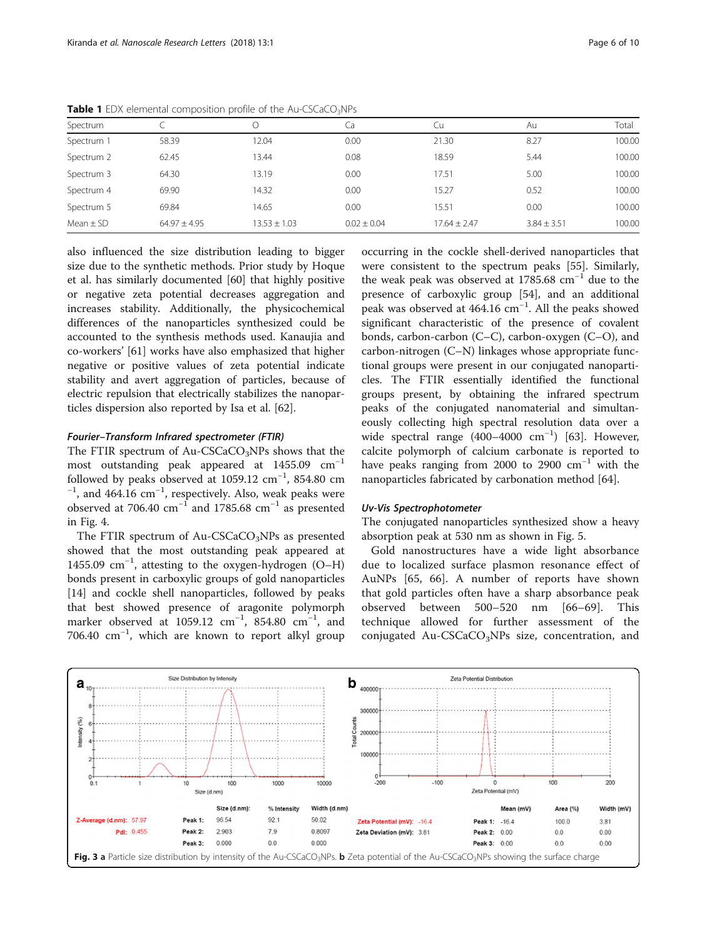| Spectrum      |                  | ◡                | Ca              | Cu               | Au              | Total  |
|---------------|------------------|------------------|-----------------|------------------|-----------------|--------|
| Spectrum 1    | 58.39            | 12.04            | 0.00            | 21.30            | 8.27            | 100.00 |
| Spectrum 2    | 62.45            | 13.44            | 0.08            | 18.59            | 5.44            | 100.00 |
| Spectrum 3    | 64.30            | 13.19            | 0.00            | 17.51            | 5.00            | 100.00 |
| Spectrum 4    | 69.90            | 14.32            | 0.00            | 15.27            | 0.52            | 100.00 |
| Spectrum 5    | 69.84            | 14.65            | 0.00            | 15.51            | 0.00            | 100.00 |
| Mean $\pm$ SD | $64.97 \pm 4.95$ | $13.53 \pm 1.03$ | $0.02 \pm 0.04$ | $17.64 \pm 2.47$ | $3.84 \pm 3.51$ | 100.00 |
|               |                  |                  |                 |                  |                 |        |

<span id="page-5-0"></span>Table 1 EDX elemental composition profile of the Au-CSCaCO<sub>3</sub>NPs

also influenced the size distribution leading to bigger size due to the synthetic methods. Prior study by Hoque et al. has similarly documented [\[60\]](#page-8-0) that highly positive or negative zeta potential decreases aggregation and increases stability. Additionally, the physicochemical differences of the nanoparticles synthesized could be accounted to the synthesis methods used. Kanaujia and co-workers' [\[61](#page-9-0)] works have also emphasized that higher negative or positive values of zeta potential indicate stability and avert aggregation of particles, because of electric repulsion that electrically stabilizes the nanoparticles dispersion also reported by Isa et al. [\[62](#page-9-0)].

#### Fourier–Transform Infrared spectrometer (FTIR)

The FTIR spectrum of Au-CSCaCO<sub>3</sub>NPs shows that the most outstanding peak appeared at  $1455.09$  cm<sup>-1</sup> followed by peaks observed at 1059.12  $\text{cm}^{-1}$ , 854.80  $\text{cm}^{-1}$  and 464.16  $\text{cm}^{-1}$  respectively. Also, weak peaks were , and  $464.16 \text{ cm}^{-1}$ , respectively. Also, weak peaks were observed at 706.40  $\text{cm}^{-1}$  and 1785.68  $\text{cm}^{-1}$  as presented in Fig. [4.](#page-6-0)

The FTIR spectrum of Au-CSCaCO<sub>3</sub>NPs as presented showed that the most outstanding peak appeared at 1455.09 cm−<sup>1</sup> , attesting to the oxygen-hydrogen (O–H) bonds present in carboxylic groups of gold nanoparticles [[14\]](#page-7-0) and cockle shell nanoparticles, followed by peaks that best showed presence of aragonite polymorph marker observed at 1059.12  $\text{cm}^{-1}$ , 854.80  $\text{cm}^{-1}$ , and 706.40 cm−<sup>1</sup> , which are known to report alkyl group

occurring in the cockle shell-derived nanoparticles that were consistent to the spectrum peaks [\[55](#page-8-0)]. Similarly, the weak peak was observed at 1785.68 cm<sup>-1</sup> due to the presence of carboxylic group [\[54](#page-8-0)], and an additional peak was observed at 464.16 cm<sup>-1</sup>. All the peaks showed significant characteristic of the presence of covalent bonds, carbon-carbon (C–C), carbon-oxygen (C–O), and carbon-nitrogen (C–N) linkages whose appropriate functional groups were present in our conjugated nanoparticles. The FTIR essentially identified the functional groups present, by obtaining the infrared spectrum peaks of the conjugated nanomaterial and simultaneously collecting high spectral resolution data over a wide spectral range (400–4000 cm−<sup>1</sup> ) [\[63](#page-9-0)]. However, calcite polymorph of calcium carbonate is reported to have peaks ranging from 2000 to 2900  $cm^{-1}$  with the nanoparticles fabricated by carbonation method [[64\]](#page-9-0).

#### Uv-Vis Spectrophotometer

The conjugated nanoparticles synthesized show a heavy absorption peak at 530 nm as shown in Fig. [5.](#page-6-0)

Gold nanostructures have a wide light absorbance due to localized surface plasmon resonance effect of AuNPs [[65, 66](#page-9-0)]. A number of reports have shown that gold particles often have a sharp absorbance peak observed between 500–520 nm [[66](#page-9-0)–[69\]](#page-9-0). This technique allowed for further assessment of the conjugated Au-CSCaCO<sub>3</sub>NPs size, concentration, and

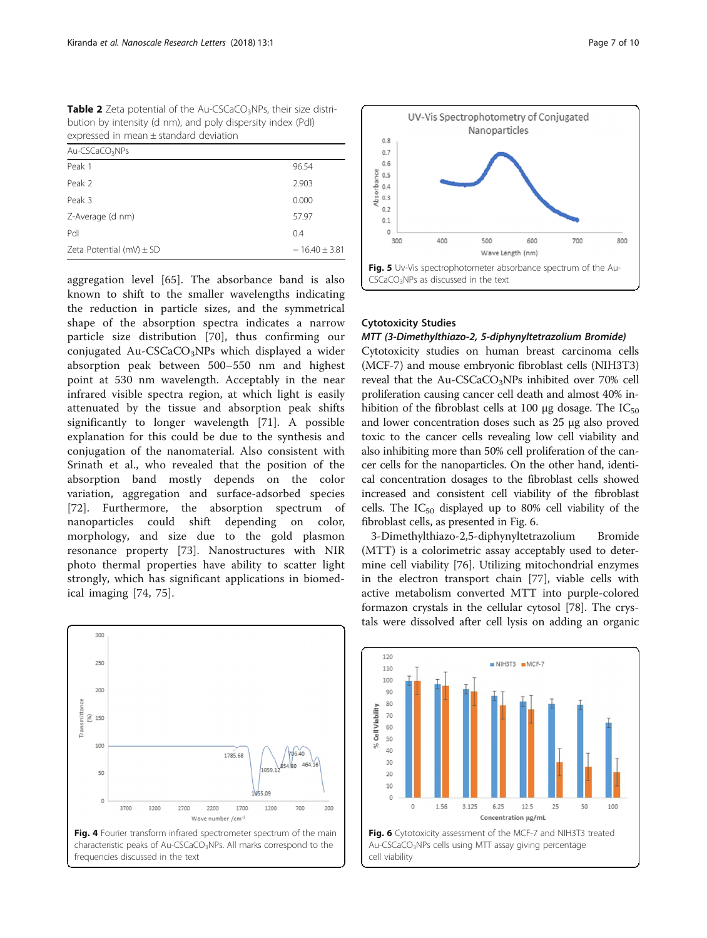<span id="page-6-0"></span>**Table 2** Zeta potential of the Au-CSCaCO<sub>3</sub>NPs, their size distribution by intensity (d nm), and poly dispersity index (PdI) expressed in mean ± standard deviation

| $Au-CSCaCO3NPs$              |                 |  |  |  |
|------------------------------|-----------------|--|--|--|
| Peak 1                       | 96.54           |  |  |  |
| Peak 2                       | 2.903           |  |  |  |
| Peak 3                       | 0.000           |  |  |  |
| Z-Average (d nm)             | 57.97           |  |  |  |
| Pdl                          | 0.4             |  |  |  |
| Zeta Potential (mV) $\pm$ SD | $-16.40 + 3.81$ |  |  |  |

aggregation level [[65](#page-9-0)]. The absorbance band is also known to shift to the smaller wavelengths indicating the reduction in particle sizes, and the symmetrical shape of the absorption spectra indicates a narrow particle size distribution [\[70](#page-9-0)], thus confirming our conjugated Au-CSCaCO<sub>3</sub>NPs which displayed a wider absorption peak between 500–550 nm and highest point at 530 nm wavelength. Acceptably in the near infrared visible spectra region, at which light is easily attenuated by the tissue and absorption peak shifts significantly to longer wavelength [\[71](#page-9-0)]. A possible explanation for this could be due to the synthesis and conjugation of the nanomaterial. Also consistent with Srinath et al., who revealed that the position of the absorption band mostly depends on the color variation, aggregation and surface-adsorbed species [[72\]](#page-9-0). Furthermore, the absorption spectrum of nanoparticles could shift depending on color, morphology, and size due to the gold plasmon resonance property [[73\]](#page-9-0). Nanostructures with NIR photo thermal properties have ability to scatter light strongly, which has significant applications in biomedical imaging [\[74](#page-9-0), [75](#page-9-0)].





#### Cytotoxicity Studies

cell viability

#### MTT (3-Dimethylthiazo-2, 5-diphynyltetrazolium Bromide)

Cytotoxicity studies on human breast carcinoma cells (MCF-7) and mouse embryonic fibroblast cells (NIH3T3) reveal that the Au-CSCaCO<sub>3</sub>NPs inhibited over 70% cell proliferation causing cancer cell death and almost 40% inhibition of the fibroblast cells at 100 μg dosage. The  $IC_{50}$ and lower concentration doses such as 25 μg also proved toxic to the cancer cells revealing low cell viability and also inhibiting more than 50% cell proliferation of the cancer cells for the nanoparticles. On the other hand, identical concentration dosages to the fibroblast cells showed increased and consistent cell viability of the fibroblast cells. The  $IC_{50}$  displayed up to 80% cell viability of the fibroblast cells, as presented in Fig. 6.

3-Dimethylthiazo-2,5-diphynyltetrazolium Bromide (MTT) is a colorimetric assay acceptably used to determine cell viability [\[76\]](#page-9-0). Utilizing mitochondrial enzymes in the electron transport chain [\[77](#page-9-0)], viable cells with active metabolism converted MTT into purple-colored formazon crystals in the cellular cytosol [[78](#page-9-0)]. The crystals were dissolved after cell lysis on adding an organic

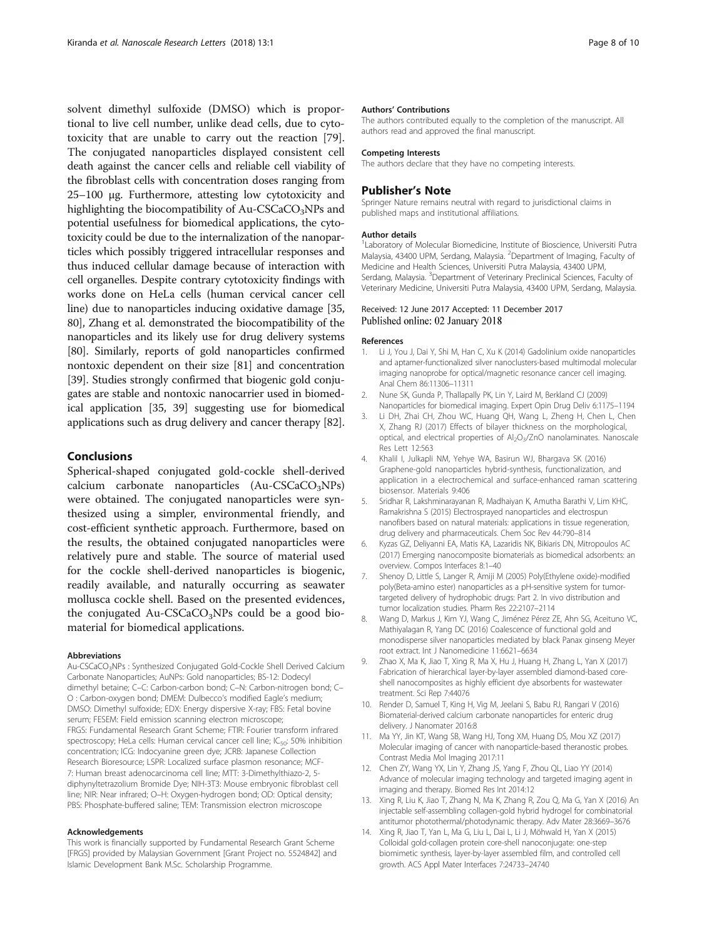<span id="page-7-0"></span>solvent dimethyl sulfoxide (DMSO) which is proportional to live cell number, unlike dead cells, due to cytotoxicity that are unable to carry out the reaction [\[79](#page-9-0)]. The conjugated nanoparticles displayed consistent cell death against the cancer cells and reliable cell viability of the fibroblast cells with concentration doses ranging from 25–100 μg. Furthermore, attesting low cytotoxicity and highlighting the biocompatibility of  $Au-CSCaCO<sub>3</sub>NPs$  and potential usefulness for biomedical applications, the cytotoxicity could be due to the internalization of the nanoparticles which possibly triggered intracellular responses and thus induced cellular damage because of interaction with cell organelles. Despite contrary cytotoxicity findings with works done on HeLa cells (human cervical cancer cell line) due to nanoparticles inducing oxidative damage [[35](#page-8-0), [80](#page-9-0)], Zhang et al. demonstrated the biocompatibility of the nanoparticles and its likely use for drug delivery systems [[80](#page-9-0)]. Similarly, reports of gold nanoparticles confirmed nontoxic dependent on their size [[81](#page-9-0)] and concentration [[39](#page-8-0)]. Studies strongly confirmed that biogenic gold conjugates are stable and nontoxic nanocarrier used in biomedical application [\[35](#page-8-0), [39](#page-8-0)] suggesting use for biomedical applications such as drug delivery and cancer therapy [[82](#page-9-0)].

#### Conclusions

Spherical-shaped conjugated gold-cockle shell-derived calcium carbonate nanoparticles  $(Au-CSCaCO<sub>3</sub>NPs)$ were obtained. The conjugated nanoparticles were synthesized using a simpler, environmental friendly, and cost-efficient synthetic approach. Furthermore, based on the results, the obtained conjugated nanoparticles were relatively pure and stable. The source of material used for the cockle shell-derived nanoparticles is biogenic, readily available, and naturally occurring as seawater mollusca cockle shell. Based on the presented evidences, the conjugated Au-CSCaCO<sub>3</sub>NPs could be a good biomaterial for biomedical applications.

#### Abbreviations

Au-CSCaCO3NPs : Synthesized Conjugated Gold-Cockle Shell Derived Calcium Carbonate Nanoparticles; AuNPs: Gold nanoparticles; BS-12: Dodecyl dimethyl betaine; C–C: Carbon-carbon bond; C–N: Carbon-nitrogen bond; C– O : Carbon-oxygen bond; DMEM: Dulbecco's modified Eagle's medium; DMSO: Dimethyl sulfoxide; EDX: Energy dispersive X-ray; FBS: Fetal bovine serum; FESEM: Field emission scanning electron microscope; FRGS: Fundamental Research Grant Scheme; FTIR: Fourier transform infrared spectroscopy; HeLa cells: Human cervical cancer cell line; IC<sub>50</sub>: 50% inhibition concentration; ICG: Indocyanine green dye; JCRB: Japanese Collection Research Bioresource; LSPR: Localized surface plasmon resonance; MCF-7: Human breast adenocarcinoma cell line; MTT: 3-Dimethylthiazo-2, 5 diphynyltetrazolium Bromide Dye; NIH-3T3: Mouse embryonic fibroblast cell line; NIR: Near infrared; O–H: Oxygen-hydrogen bond; OD: Optical density; PBS: Phosphate-buffered saline; TEM: Transmission electron microscope

#### Acknowledgements

This work is financially supported by Fundamental Research Grant Scheme [FRGS] provided by Malaysian Government [Grant Project no. 5524842] and Islamic Development Bank M.Sc. Scholarship Programme.

#### Authors' Contributions

The authors contributed equally to the completion of the manuscript. All authors read and approved the final manuscript.

#### Competing Interests

The authors declare that they have no competing interests.

#### Publisher's Note

Springer Nature remains neutral with regard to jurisdictional claims in published maps and institutional affiliations.

#### Author details

<sup>1</sup> Laboratory of Molecular Biomedicine, Institute of Bioscience, Universiti Putra Malaysia, 43400 UPM, Serdang, Malaysia. <sup>2</sup>Department of Imaging, Faculty of Medicine and Health Sciences, Universiti Putra Malaysia, 43400 UPM, Serdang, Malaysia. <sup>3</sup>Department of Veterinary Preclinical Sciences, Faculty of Veterinary Medicine, Universiti Putra Malaysia, 43400 UPM, Serdang, Malaysia.

#### Received: 12 June 2017 Accepted: 11 December 2017 Published online: 02 January 2018

#### References

- 1. Li J, You J, Dai Y, Shi M, Han C, Xu K (2014) Gadolinium oxide nanoparticles and aptamer-functionalized silver nanoclusters-based multimodal molecular imaging nanoprobe for optical/magnetic resonance cancer cell imaging. Anal Chem 86:11306–11311
- 2. Nune SK, Gunda P, Thallapally PK, Lin Y, Laird M, Berkland CJ (2009) Nanoparticles for biomedical imaging. Expert Opin Drug Deliv 6:1175–1194
- 3. Li DH, Zhai CH, Zhou WC, Huang QH, Wang L, Zheng H, Chen L, Chen X, Zhang RJ (2017) Effects of bilayer thickness on the morphological, optical, and electrical properties of Al<sub>2</sub>O<sub>3</sub>/ZnO nanolaminates. Nanoscale Res Lett 12:563
- 4. Khalil I, Julkapli NM, Yehye WA, Basirun WJ, Bhargava SK (2016) Graphene-gold nanoparticles hybrid-synthesis, functionalization, and application in a electrochemical and surface-enhanced raman scattering biosensor. Materials 9:406
- 5. Sridhar R, Lakshminarayanan R, Madhaiyan K, Amutha Barathi V, Lim KHC, Ramakrishna S (2015) Electrosprayed nanoparticles and electrospun nanofibers based on natural materials: applications in tissue regeneration, drug delivery and pharmaceuticals. Chem Soc Rev 44:790–814
- 6. Kyzas GZ, Deliyanni EA, Matis KA, Lazaridis NK, Bikiaris DN, Mitropoulos AC (2017) Emerging nanocomposite biomaterials as biomedical adsorbents: an overview. Compos Interfaces 8:1–40
- 7. Shenoy D, Little S, Langer R, Amiji M (2005) Poly(Ethylene oxide)-modified poly(Beta-amino ester) nanoparticles as a pH-sensitive system for tumortargeted delivery of hydrophobic drugs: Part 2. In vivo distribution and tumor localization studies. Pharm Res 22:2107–2114
- 8. Wang D, Markus J, Kim YJ, Wang C, Jiménez Pérez ZE, Ahn SG, Aceituno VC, Mathiyalagan R, Yang DC (2016) Coalescence of functional gold and monodisperse silver nanoparticles mediated by black Panax ginseng Meyer root extract. Int J Nanomedicine 11:6621–6634
- 9. Zhao X, Ma K, Jiao T, Xing R, Ma X, Hu J, Huang H, Zhang L, Yan X (2017) Fabrication of hierarchical layer-by-layer assembled diamond-based coreshell nanocomposites as highly efficient dye absorbents for wastewater treatment. Sci Rep 7:44076
- 10. Render D, Samuel T, King H, Vig M, Jeelani S, Babu RJ, Rangari V (2016) Biomaterial-derived calcium carbonate nanoparticles for enteric drug delivery. J Nanomater 2016:8
- 11. Ma YY, Jin KT, Wang SB, Wang HJ, Tong XM, Huang DS, Mou XZ (2017) Molecular imaging of cancer with nanoparticle-based theranostic probes. Contrast Media Mol Imaging 2017:11
- 12. Chen ZY, Wang YX, Lin Y, Zhang JS, Yang F, Zhou QL, Liao YY (2014) Advance of molecular imaging technology and targeted imaging agent in imaging and therapy. Biomed Res Int 2014:12
- 13. Xing R, Liu K, Jiao T, Zhang N, Ma K, Zhang R, Zou Q, Ma G, Yan X (2016) An injectable self-assembling collagen-gold hybrid hydrogel for combinatorial antitumor photothermal/photodynamic therapy. Adv Mater 28:3669–3676
- 14. Xing R, Jiao T, Yan L, Ma G, Liu L, Dai L, Li J, Möhwald H, Yan X (2015) Colloidal gold-collagen protein core-shell nanoconjugate: one-step biomimetic synthesis, layer-by-layer assembled film, and controlled cell growth. ACS Appl Mater Interfaces 7:24733–24740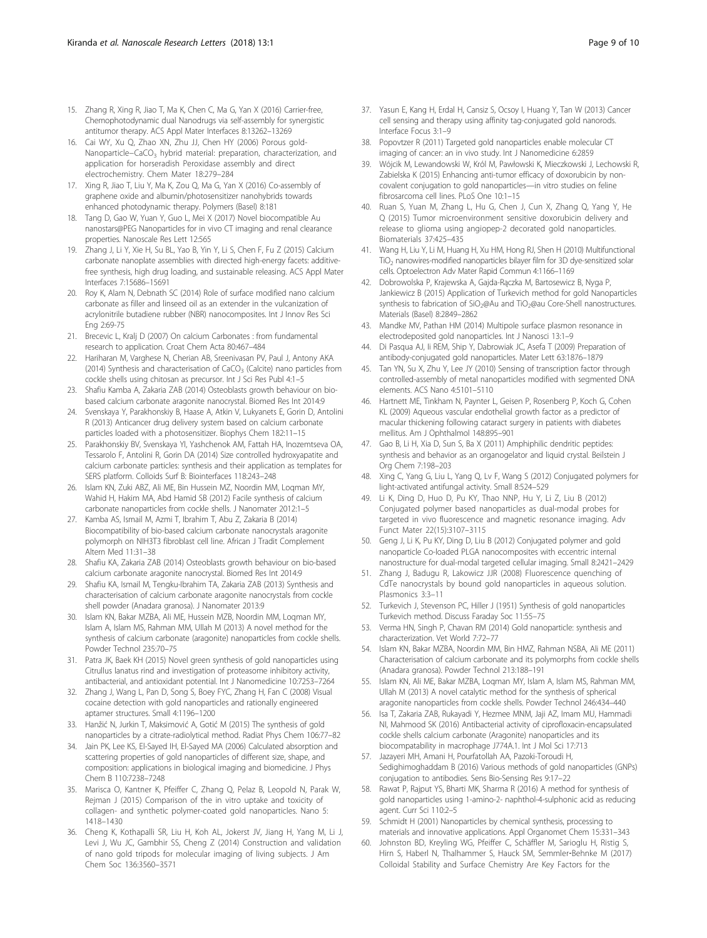- <span id="page-8-0"></span>15. Zhang R, Xing R, Jiao T, Ma K, Chen C, Ma G, Yan X (2016) Carrier-free, Chemophotodynamic dual Nanodrugs via self-assembly for synergistic antitumor therapy. ACS Appl Mater Interfaces 8:13262–13269
- 16. Cai WY, Xu Q, Zhao XN, Zhu JJ, Chen HY (2006) Porous gold-Nanoparticle−CaCO<sub>3</sub> hybrid material: preparation, characterization, and application for horseradish Peroxidase assembly and direct electrochemistry. Chem Mater 18:279–284
- 17. Xing R, Jiao T, Liu Y, Ma K, Zou Q, Ma G, Yan X (2016) Co-assembly of graphene oxide and albumin/photosensitizer nanohybrids towards enhanced photodynamic therapy. Polymers (Basel) 8:181
- 18. Tang D, Gao W, Yuan Y, Guo L, Mei X (2017) Novel biocompatible Au nanostars@PEG Nanoparticles for in vivo CT imaging and renal clearance properties. Nanoscale Res Lett 12:565
- 19. Zhang J, Li Y, Xie H, Su BL, Yao B, Yin Y, Li S, Chen F, Fu Z (2015) Calcium carbonate nanoplate assemblies with directed high-energy facets: additivefree synthesis, high drug loading, and sustainable releasing. ACS Appl Mater Interfaces 7:15686–15691
- 20. Roy K, Alam N, Debnath SC (2014) Role of surface modified nano calcium carbonate as filler and linseed oil as an extender in the vulcanization of acrylonitrile butadiene rubber (NBR) nanocomposites. Int J Innov Res Sci Eng 2:69-75
- 21. Brecevic L, Kralj D (2007) On calcium Carbonates : from fundamental research to application. Croat Chem Acta 80:467–484
- 22. Hariharan M, Varghese N, Cherian AB, Sreenivasan PV, Paul J, Antony AKA (2014) Synthesis and characterisation of  $CaCO<sub>3</sub>$  (Calcite) nano particles from cockle shells using chitosan as precursor. Int J Sci Res Publ 4:1–5
- 23. Shafiu Kamba A, Zakaria ZAB (2014) Osteoblasts growth behaviour on biobased calcium carbonate aragonite nanocrystal. Biomed Res Int 2014:9
- 24. Svenskaya Y, Parakhonskiy B, Haase A, Atkin V, Lukyanets E, Gorin D, Antolini R (2013) Anticancer drug delivery system based on calcium carbonate particles loaded with a photosensitizer. Biophys Chem 182:11–15
- 25. Parakhonskiy BV, Svenskaya YI, Yashchenok AM, Fattah HA, Inozemtseva OA, Tessarolo F, Antolini R, Gorin DA (2014) Size controlled hydroxyapatite and calcium carbonate particles: synthesis and their application as templates for SERS platform. Colloids Surf B: Biointerfaces 118:243–248
- 26. Islam KN, Zuki ABZ, Ali ME, Bin Hussein MZ, Noordin MM, Loqman MY, Wahid H, Hakim MA, Abd Hamid SB (2012) Facile synthesis of calcium carbonate nanoparticles from cockle shells. J Nanomater 2012:1–5
- 27. Kamba AS, Ismail M, Azmi T, Ibrahim T, Abu Z, Zakaria B (2014) Biocompatibility of bio-based calcium carbonate nanocrystals aragonite polymorph on NIH3T3 fibroblast cell line. African J Tradit Complement Altern Med 11:31–38
- 28. Shafiu KA, Zakaria ZAB (2014) Osteoblasts growth behaviour on bio-based calcium carbonate aragonite nanocrystal. Biomed Res Int 2014:9
- 29. Shafiu KA, Ismail M, Tengku-Ibrahim TA, Zakaria ZAB (2013) Synthesis and characterisation of calcium carbonate aragonite nanocrystals from cockle shell powder (Anadara granosa). J Nanomater 2013:9
- 30. Islam KN, Bakar MZBA, Ali ME, Hussein MZB, Noordin MM, Loqman MY, Islam A, Islam MS, Rahman MM, Ullah M (2013) A novel method for the synthesis of calcium carbonate (aragonite) nanoparticles from cockle shells. Powder Technol 235:70–75
- 31. Patra JK, Baek KH (2015) Novel green synthesis of gold nanoparticles using Citrullus lanatus rind and investigation of proteasome inhibitory activity, antibacterial, and antioxidant potential. Int J Nanomedicine 10:7253–7264
- 32. Zhang J, Wang L, Pan D, Song S, Boey FYC, Zhang H, Fan C (2008) Visual cocaine detection with gold nanoparticles and rationally engineered aptamer structures. Small 4:1196–1200
- 33. Hanžić N, Jurkin T, Maksimović A, Gotić M (2015) The synthesis of gold nanoparticles by a citrate-radiolytical method. Radiat Phys Chem 106:77–82
- 34. Jain PK, Lee KS, El-Sayed IH, El-Sayed MA (2006) Calculated absorption and scattering properties of gold nanoparticles of different size, shape, and composition: applications in biological imaging and biomedicine. J Phys Chem B 110:7238–7248
- 35. Marisca O, Kantner K, Pfeiffer C, Zhang Q, Pelaz B, Leopold N, Parak W, Rejman J (2015) Comparison of the in vitro uptake and toxicity of collagen- and synthetic polymer-coated gold nanoparticles. Nano 5: 1418–1430
- 36. Cheng K, Kothapalli SR, Liu H, Koh AL, Jokerst JV, Jiang H, Yang M, Li J, Levi J, Wu JC, Gambhir SS, Cheng Z (2014) Construction and validation of nano gold tripods for molecular imaging of living subjects. J Am Chem Soc 136:3560–3571
- 37. Yasun E, Kang H, Erdal H, Cansiz S, Ocsoy I, Huang Y, Tan W (2013) Cancer cell sensing and therapy using affinity tag-conjugated gold nanorods. Interface Focus 3:1–9
- 38. Popovtzer R (2011) Targeted gold nanoparticles enable molecular CT imaging of cancer: an in vivo study. Int J Nanomedicine 6:2859
- 39. Wójcik M, Lewandowski W, Król M, Pawłowski K, Mieczkowski J, Lechowski R, Zabielska K (2015) Enhancing anti-tumor efficacy of doxorubicin by noncovalent conjugation to gold nanoparticles—in vitro studies on feline fibrosarcoma cell lines. PLoS One 10:1–15
- 40. Ruan S, Yuan M, Zhang L, Hu G, Chen J, Cun X, Zhang Q, Yang Y, He Q (2015) Tumor microenvironment sensitive doxorubicin delivery and release to glioma using angiopep-2 decorated gold nanoparticles. Biomaterials 37:425–435
- 41. Wang H, Liu Y, Li M, Huang H, Xu HM, Hong RJ, Shen H (2010) Multifunctional TiO2 nanowires-modified nanoparticles bilayer film for 3D dye-sensitized solar cells. Optoelectron Adv Mater Rapid Commun 4:1166–1169
- 42. Dobrowolska P, Krajewska A, Gajda-Rączka M, Bartosewicz B, Nyga P, Jankiewicz B (2015) Application of Turkevich method for gold Nanoparticles synthesis to fabrication of SiO<sub>2</sub>@Au and TiO<sub>2</sub>@au Core-Shell nanostructures. Materials (Basel) 8:2849–2862
- 43. Mandke MV, Pathan HM (2014) Multipole surface plasmon resonance in electrodeposited gold nanoparticles. Int J Nanosci 13:1–9
- 44. Di Pasqua AJ, Ii REM, Ship Y, Dabrowiak JC, Asefa T (2009) Preparation of antibody-conjugated gold nanoparticles. Mater Lett 63:1876–1879
- 45. Tan YN, Su X, Zhu Y, Lee JY (2010) Sensing of transcription factor through controlled-assembly of metal nanoparticles modified with segmented DNA elements. ACS Nano 4:5101–5110
- 46. Hartnett ME, Tinkham N, Paynter L, Geisen P, Rosenberg P, Koch G, Cohen KL (2009) Aqueous vascular endothelial growth factor as a predictor of macular thickening following cataract surgery in patients with diabetes mellitus. Am J Ophthalmol 148:895–901
- 47. Gao B, Li H, Xia D, Sun S, Ba X (2011) Amphiphilic dendritic peptides: synthesis and behavior as an organogelator and liquid crystal. Beilstein J Org Chem 7:198–203
- 48. Xing C, Yang G, Liu L, Yang Q, Lv F, Wang S (2012) Conjugated polymers for light-activated antifungal activity. Small 8:524–529
- 49. Li K, Ding D, Huo D, Pu KY, Thao NNP, Hu Y, Li Z, Liu B (2012) Conjugated polymer based nanoparticles as dual-modal probes for targeted in vivo fluorescence and magnetic resonance imaging. Adv Funct Mater 22(15):3107–3115
- 50. Geng J, Li K, Pu KY, Ding D, Liu B (2012) Conjugated polymer and gold nanoparticle Co-loaded PLGA nanocomposites with eccentric internal nanostructure for dual-modal targeted cellular imaging. Small 8:2421–2429
- 51. Zhang J, Badugu R, Lakowicz JJR (2008) Fluorescence quenching of CdTe nanocrystals by bound gold nanoparticles in aqueous solution. Plasmonics 3:3–11
- 52. Turkevich J, Stevenson PC, Hiller J (1951) Synthesis of gold nanoparticles Turkevich method. Discuss Faraday Soc 11:55–75
- 53. Verma HN, Singh P, Chavan RM (2014) Gold nanoparticle: synthesis and characterization. Vet World 7:72–77
- 54. Islam KN, Bakar MZBA, Noordin MM, Bin HMZ, Rahman NSBA, Ali ME (2011) Characterisation of calcium carbonate and its polymorphs from cockle shells (Anadara granosa). Powder Technol 213:188–191
- 55. Islam KN, Ali ME, Bakar MZBA, Loqman MY, Islam A, Islam MS, Rahman MM, Ullah M (2013) A novel catalytic method for the synthesis of spherical aragonite nanoparticles from cockle shells. Powder Technol 246:434–440
- 56. Isa T, Zakaria ZAB, Rukayadi Y, Hezmee MNM, Jaji AZ, Imam MU, Hammadi NI, Mahmood SK (2016) Antibacterial activity of ciprofloxacin-encapsulated cockle shells calcium carbonate (Aragonite) nanoparticles and its biocompatability in macrophage J774A.1. Int J Mol Sci 17:713
- 57. Jazayeri MH, Amani H, Pourfatollah AA, Pazoki-Toroudi H, Sedighimoghaddam B (2016) Various methods of gold nanoparticles (GNPs) conjugation to antibodies. Sens Bio-Sensing Res 9:17–22
- 58. Rawat P, Rajput YS, Bharti MK, Sharma R (2016) A method for synthesis of gold nanoparticles using 1-amino-2- naphthol-4-sulphonic acid as reducing agent. Curr Sci 110:2–5
- 59. Schmidt H (2001) Nanoparticles by chemical synthesis, processing to materials and innovative applications. Appl Organomet Chem 15:331–343
- 60. Johnston BD, Kreyling WG, Pfeiffer C, Schäffler M, Sarioglu H, Ristig S, Hirn S, Haberl N, Thalhammer S, Hauck SM, Semmler-Behnke M (2017) Colloidal Stability and Surface Chemistry Are Key Factors for the